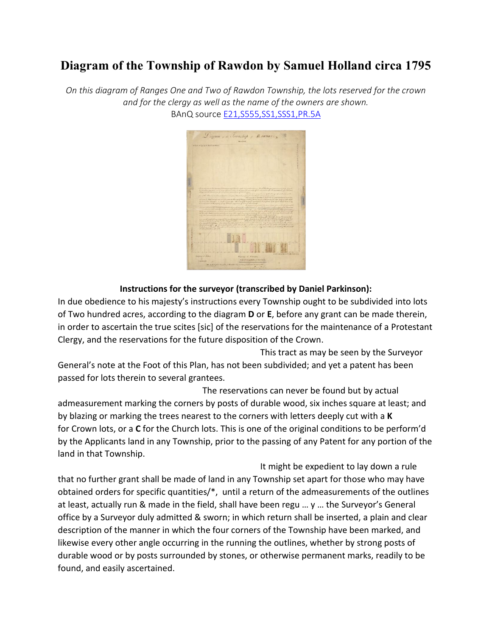## **Diagram of the Township of Rawdon by Samuel Holland circa 1795**

*On this diagram of Ranges One and Two of Rawdon Township, the lots reserved for the crown and for the clergy as well as the name of the owners are shown.* BAnQ source [E21,S555,SS1,SSS1,PR.5A](https://pistard.banq.qc.ca/unite_chercheurs/Prc_acces_unite_chercheur?p_codedepo=03Q&P_codeclas=E&P_numfonds=21&P_numserie=555&P_numsseri=1&P_numssser=1&P_numdossi=0&P_numpiece=R.5A) 



## **Instructions for the surveyor (transcribed by Daniel Parkinson):**

In due obedience to his majesty's instructions every Township ought to be subdivided into lots of Two hundred acres, according to the diagram **D** or **E**, before any grant can be made therein, in order to ascertain the true scites [sic] of the reservations for the maintenance of a Protestant Clergy, and the reservations for the future disposition of the Crown.

This tract as may be seen by the Surveyor General's note at the Foot of this Plan, has not been subdivided; and yet a patent has been passed for lots therein to several grantees.

The reservations can never be found but by actual admeasurement marking the corners by posts of durable wood, six inches square at least; and by blazing or marking the trees nearest to the corners with letters deeply cut with a **K** for Crown lots, or a **C** for the Church lots. This is one of the original conditions to be perform'd by the Applicants land in any Township, prior to the passing of any Patent for any portion of the land in that Township.

It might be expedient to lay down a rule that no further grant shall be made of land in any Township set apart for those who may have obtained orders for specific quantities/\*, until a return of the admeasurements of the outlines at least, actually run & made in the field, shall have been regu … y … the Surveyor's General office by a Surveyor duly admitted & sworn; in which return shall be inserted, a plain and clear description of the manner in which the four corners of the Township have been marked, and likewise every other angle occurring in the running the outlines, whether by strong posts of durable wood or by posts surrounded by stones, or otherwise permanent marks, readily to be found, and easily ascertained.